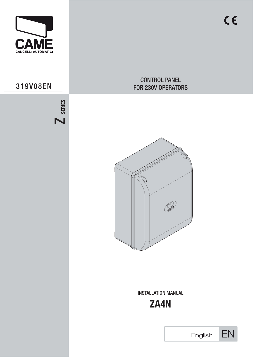

# 319V08EN



# CONTROL PANEL FOR 230V OPERATORS



INSTALLATION MANUAL



| English |  |
|---------|--|
|         |  |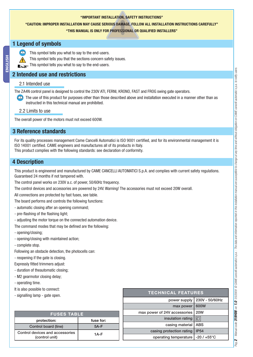#### **"IMPORTANT INSTALLATION, SAFETY INSTRUCTIONS"**

#### **"CAUTION: IMPROPER INSTALLATION MAY CAUSE SERIOUS DAMAGE, FOLLOW ALL INSTALLATION INSTRUCTIONS CAREFULLY"**

#### **"THIS MANUAL IS ONLY FOR PROFESSIONAL OR QUALIFIED INSTALLERS"**

#### **1 Legend of symbols**



- This symbol tells you that the sections concern safety issues.
- This symbol tells you what to say to the end-users.

### **2 Intended use and restrictions**

#### 2.1 Intended use

The ZA4N control panel is designed to control the 230V ATI, FERNI, KRONO, FAST and FROG swing gate operators.

The use of this product for purposes other than those described above and installation executed in a manner other than as instructed in this technical manual are prohibited.

#### 2.2 Limits to use

The overall power of the motors must not exceed 600W.

### **3 Reference standards**

For its quality processes management Came Cancelli Automatici is ISO 9001 certified, and for its environmental management it is ISO 14001 certified. CAME engineers and manufactures all of its products in Italy. This product complies with the following standards: see declaration of conformity.

### **4 Description**

This product is engineered and manufactured by CAME CANCELLI AUTOMATICI S.p.A. and complies with current safety regulations. Guaranteed 24 months if not tampered with.

The control panel works on 230V a.c. of power, 50/60Hz frequency.

The control devices and accessories are powered by 24V. Warning! The accessories must not exceed 20W overall.

All connections are protected by fast fuses, see table.

The board performs and controls the following functions:

- automatic closing after an opening command;
- pre-flashing of the flashing light;
- adjusting the motor torque on the connected automation device.

The command modes that may be defined are the following:

- opening/closing;
- opening/closing with maintained action;

- complete stop.

Following an obstacle detection, the photocells can:

- reopening if the gate is closing.

Expressly fitted trimmers adjust:

- duration of theautomatic closing;

- M2 gearmotor closing delay;

- operating time.

- It is also possible to connect:
- signalling lamp gate open.

| <b>FUSES TABLE</b>                                |           |  |  |
|---------------------------------------------------|-----------|--|--|
| protection:                                       | fuse for: |  |  |
| Control board (line)                              | $5A-F$    |  |  |
| Control devices and accessories<br>(control unit) | 1A-F      |  |  |

| <b>TECHNICAL FEATURES</b>    |                     |  |  |  |
|------------------------------|---------------------|--|--|--|
| power supply                 | 230V - 50/60Hz      |  |  |  |
| max power                    | 600W                |  |  |  |
| max power of 24V accessories | <b>20W</b>          |  |  |  |
| insulation rating            |                     |  |  |  |
| casing material              | <b>ABS</b>          |  |  |  |
| casing protection rating     | IP <sub>54</sub>    |  |  |  |
| operating temperature        | $-20/+55^{\circ}$ C |  |  |  |
|                              |                     |  |  |  |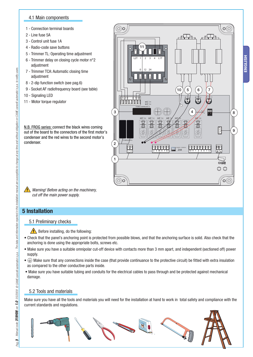#### 4.1 Main components

- 1 Connection terminal boards
- 2 Line fuse 5A
- 3 Control unit fuse 1A
- 4 Radio-code save buttons
- 5 Trimmer TL: Operating time adjustment
- 6 Trimmer delay on closing cycle motor n°2 adjustment
- 7 Trimmer TCA: Automatic closing time adjustment
- 8 2-dip function switch (see pag.6)
- 9 Socket AF radiofrequency board (see table)
- 10 Signaling LED
- 11 Motor torque regulator

N.B. FROG series: connect the black wires coming out of the board to the connectors of the first motor's condenser and the red wires to the second motor's condenser.

 $\bigwedge$  Warning! Before acting on the machinery, cut off the main power supply.

### **5 Installation**

#### 5.1 Preliminary checks

 $\bigwedge$  Before installing, do the following:

• Check that the panel's anchoring point is protected from possible blows, and that the anchoring surface is solid. Also check that the anchoring is done using the appropriate bolts, screws etc.

**FUSIBILIUNEASA** 

1

2

3

L1 L2 C 24 0 12

世界四面

FUSIBILE CENTRALINA 1A

 $\overline{\phantom{a}^{\bullet} \square}$ 

L2T 1 2 3 4 L1T

 $0112$ 

M

11

QUADRO COMANDO

L1 L2 U V W X Y E1 10 11 1 2 3 5 7 C1

 $T.$   $\frac{1}{2}$   $\frac{1}{2}$   $\frac{1}{2}$   $\frac{1}{2}$   $\frac{1}{2}$   $\frac{1}{2}$   $\frac{1}{2}$   $\frac{1}{2}$   $\frac{1}{2}$   $\frac{1}{2}$   $\frac{1}{2}$   $\frac{1}{2}$   $\frac{1}{2}$   $\frac{1}{2}$   $\frac{1}{2}$   $\frac{1}{2}$   $\frac{1}{2}$   $\frac{1}{2}$   $\frac{1}{2}$   $\frac{1}{2}$   $\frac{1}{2}$   $\frac{1}{$ 

FORFARA

 $10 (5) (6) (7)$ 

1 2

 $\Box$ 

 $4) 8$   $\frac{1}{2}$   $\frac{1}{2}$   $\frac{1}{2}$   $\frac{1}{2}$   $\frac{1}{2}$   $\frac{1}{2}$   $\frac{1}{2}$   $\frac{1}{2}$   $\frac{1}{2}$   $\frac{1}{2}$   $\frac{1}{2}$   $\frac{1}{2}$   $\frac{1}{2}$   $\frac{1}{2}$   $\frac{1}{2}$   $\frac{1}{2}$   $\frac{1}{2}$   $\frac{1}{2}$   $\frac{1}{2}$   $\frac{1}{2}$   $\frac{1}{2}$   $\frac{$ 

E

 $\mathbb T$ 

 $O(C)$ 

- Make sure you have a suitable omnipolar cut-off device with contacts more than 3 mm apart, and independent (sectioned off) power supply.
- $\bullet$   $\circ$  Make sure that any connections inside the case (that provide continuance to the protective circuit) be fitted with extra insulation as compared to the other conductive parts inside.
- Make sure you have suitable tubing and conduits for the electrical cables to pass through and be protected against mechanical damage.

#### 5.2 Tools and materials

Make sure you have all the tools and materials you will need for the installation at hand to work in total safety and compliance with the current standards and regulations.





9

Pag.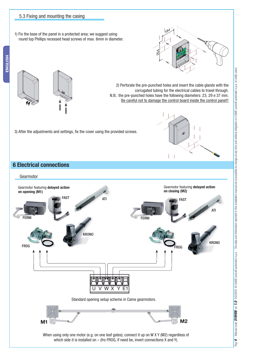#### 5.3 Fixing and mounting the casing

1) Fix the base of the panel in a protected area; we suggest using round top Phillips recessed head screws of max. 6mm in diameter.





2) Perforate the pre-punched holes and insert the cable glands with the corrugated tubing for the electrical cables to travel through. N.B.: the pre-punched holes have the following diameters: 23, 29 e 37 mm. Be careful not to damage the control board inside the control panel!!

3) After the adjustments and settings, fix the cover using the provided screws.



#### **6 Electrical connections**

#### Gearmotor

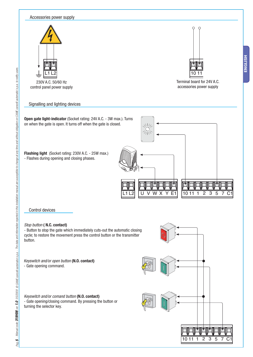

ENGLISH **ENGLISH**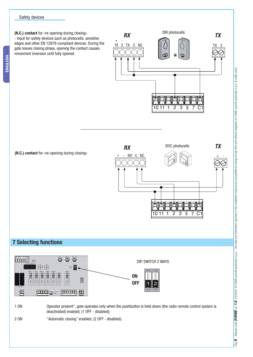#### Safety devices

**ENGLISH**

ENGLISH

**(N.C.) contact** for «re-opening during closing» - Input for safety devices such as photocells, sensitive edges and other EN 12978-compliant devices. During the gate leaves closing phase, opening the contact causes movement inversion until fully opened.



**(N.C.) contact** for «re-opening during closing»



### **7 Selecting functions**



1 ON Operator present", gate operates only when the pushbutton is held down (the radio remote control system is deactivated) enabled; (1 OFF - disabled);

2 ON "Automatic closing" enabled; (2 OFF - disabled).

Pag.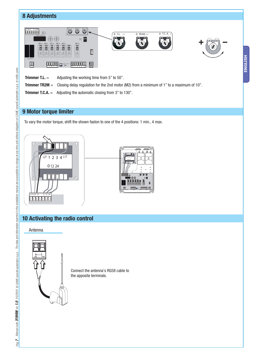## **8 Adjustments**



**ENGLISH**

ENGLISH

- **Trimmer T.L.** = Adjusting the working time from 5" to 50".
- **Trimmer TR2M** = Closing delay regulation for the 2nd motor (M2) from a minimum of 1" to a maximum of 10".
- **Trimmer T.C.A.** = Adjusting the automatic closing from 3" to 130".

### **9 Motor torque limiter**

To vary the motor torque, shift the shown faston to one of the 4 positions: 1 min., 4 max.



### **10 Activating the radio control**



Connect the antenna's RG58 cable to the apposite terminals.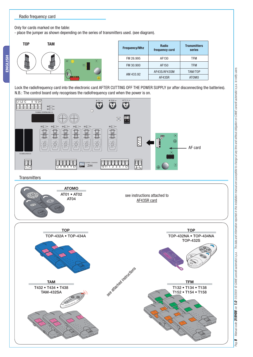#### Radio frequency card

Only for cards marked on the table:

- place the jumper as shown depending on the series of transmitters used. (see diagram).



Lock the radiofrequency card into the electronic card AFTER CUTTING OFF THE POWER SUPPLY (or after disconnecting the batteries). N.B.: The control board only recognises the radiofrequency card when the power is on.



#### **Transmitters**



Pag.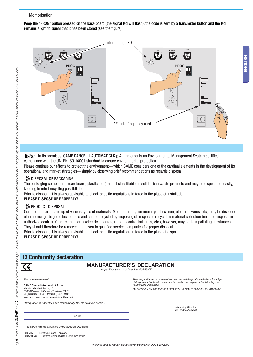#### Memorisation

Keep the "PROG" button pressed on the base board (the signal led will flash), the code is sent by a transmitter button and the led remains alight to signal that it has been stored (see the figure).



#### In its premises, CAME CANCELLI AUTOMATICI S.p.A. implements an Environmental Management System certified in compliance with the UNI EN ISO 14001 standard to ensure environmental protection.

Please continue our efforts to protect the environment—which CAME considers one of the cardinal elements in the development of its operational and market strategies—simply by observing brief recommendations as regards disposal:

#### **DISPOSAL OF PACKAGING**

The packaging components (cardboard, plastic, etc.) are all classifiable as solid urban waste products and may be disposed of easily, keeping in mind recycling possibilities.

Prior to disposal, it is always advisable to check specific regulations in force in the place of installation.

#### **PLEASE DISPOSE OF PROPERLY!**

#### **A** PRODUCT DISPOSAL

Our products are made up of various types of materials. Most of them (aluminium, plastics, iron, electrical wires, etc.) may be disposed of in normal garbage collection bins and can be recycled by disposing of in specific recyclable material collection bins and disposal in authorized centres. Other components (electrical boards, remote control batteries, etc.), however, may contain polluting substances. They should therefore be removed and given to qualified service companies for proper disposal.

Prior to disposal, it is always advisable to check specific regulations in force in the place of disposal.

#### **PLEASE DISPOSE OF PROPERLY!**

### **12 Conformity declaration**

#### **MANUFACTURER'S DECLARATION** As per Enclosure II A of Directive 2006/95/CE

 $\overline{c}$ 

**CAME Cancelli Automatici S.p.A.** via Martiri della Libertà, 15 31030 Dosson di Casier - Treviso - ITALY tel (+39) 0422 4940 - fax (+39) 0422 4941 internet: www.came.it - e-mail: info@came.it Also, they furthermore represent and warrant that the product/s that are the subject of the present Declaration are manufactured in the respect of the following main *harmonized provisions:*

EN 60335-1 / EN 60335-2-103 / EN 13241-1 / EN 61000-6-2 / EN 61000-6-3

Hereby declare, under their own respons ibility, that the product/s called ...

Managing Director Mr. Gianni Michielan

… complies with the provisions of the following Directives

2006/95/CE - Direttiva Bassa Tensione 2004/108/CE - Direttiva Compatigilità Elettromagnetica